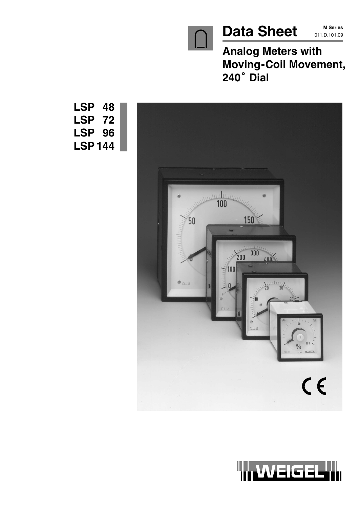

**M Series**

**Analog Meters with Moving-Coil Movement, 240 Dial**





**LSP 48 LSP 72 LSP 96 LSP 144**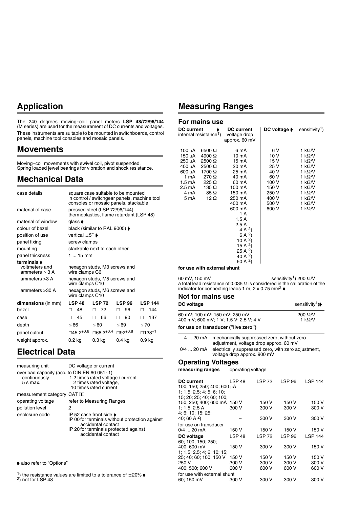## **Application**

The 240 degrees moving-coil panel meters **LSP 48/72/96/144** (M series) are used for the measurement of DC currents and voltages. These instruments are suitable to be mounted in switchboards, control panels, machine tool consoles and mosaic panels.

### **Movements**

Moving-coil movements with swivel coil, pivot suspended. Spring loaded jewel bearings for vibration and shock resistance.

## **Mechanical Data**

| case details                                                |                                    | square case suitable to be mounted<br>in control / switchgear panels, machine tool<br>consoles or mosaic panels, stackable |               |                   |
|-------------------------------------------------------------|------------------------------------|----------------------------------------------------------------------------------------------------------------------------|---------------|-------------------|
| material of case                                            |                                    | pressed steel (LSP 72/96/144)<br>thermoplastics, flame retardant (LSP 48)                                                  |               |                   |
| material of window                                          | glass <b>▶</b>                     |                                                                                                                            |               |                   |
| colour of bezel                                             |                                    | black (similar to RAL 9005) $\blacktriangleright$                                                                          |               |                   |
| position of use                                             | vertical $\pm 5^{\circ}$ $\bullet$ |                                                                                                                            |               |                   |
| panel fixing                                                | screw clamps                       |                                                                                                                            |               |                   |
| mounting                                                    |                                    | stackable next to each other                                                                                               |               |                   |
| panel thickness                                             | 1  15 mm                           |                                                                                                                            |               |                   |
| terminals <b>▶</b><br>voltmeters and<br>ammeters $\leq$ 3 A | wire clamps C6                     | hexagon studs, M3 screws and                                                                                               |               |                   |
| ammeters $>3$ A                                             | wire clamps C10                    | hexagon studs, M5 screws and                                                                                               |               |                   |
| ammeters $>30$ A                                            | wire clamps C10                    | hexagon studs, M6 screws and                                                                                               |               |                   |
| <b>dimensions</b> (in mm)                                   | <b>LSP 48</b>                      | <b>LSP 72</b>                                                                                                              | <b>LSP 96</b> | <b>LSP 144</b>    |
| hezel                                                       | 48<br>п                            | 72<br>п                                                                                                                    | 96<br>п       | 144<br>п          |
| case                                                        | 45<br>п                            | 66<br>п                                                                                                                    | 90<br>п       | 137<br>п          |
| depth                                                       | ≤ 66                               | $\leq 60$                                                                                                                  | $\leq 69$     | $\leq 70$         |
| panel cutout                                                |                                    | $\Box$ 45.2 <sup>+0.6</sup> $\Box$ 68.3 <sup>+0.4</sup>                                                                    | $□92^{+0.8}$  | 138 <sup>+1</sup> |
| weight approx.                                              | $0.2$ kg                           | $0.3$ kg                                                                                                                   | 0.4 kg        | 0.9 kg            |

## **Electrical Data**

| measuring unit                                                              | DC voltage or current                                                                                                                                                  |
|-----------------------------------------------------------------------------|------------------------------------------------------------------------------------------------------------------------------------------------------------------------|
| overload capacity (acc. to DIN EN 60 051 - 1)<br>continuously<br>$5 s$ max. | 1.2 times rated voltage / current<br>2 times rated voltage,<br>10 times rated current                                                                                  |
| measurement category CAT III                                                |                                                                                                                                                                        |
| operating voltage                                                           | refer to Measuring Ranges                                                                                                                                              |
| pollution level                                                             | 2                                                                                                                                                                      |
| enclosure code                                                              | IP 52 case front side $\bullet$<br>IP 00 for terminals without protection against<br>accidental contact<br>IP 20 for terminals protected against<br>accidental contact |

 $\blacklozenge$  also refer to "Options"

<sup>1</sup>) the resistance values are limited to a tolerance of  $\pm 20\%$   $\blacktriangleright$  <sup>2</sup>) not for LSP 48

## **Measuring Ranges**

#### **For mains use**

| <b>DC</b> current                                                                                         | internal resistance <sup>1</sup> )                                                                                                                | <b>DC</b> current<br>voltage drop<br>approx. 60 mV                                                                                                                                                                                                                    | DC voltage $\blacklozenge$                                                                        | sensitivity <sup>1</sup> )                                                                                                                                                                                                 |
|-----------------------------------------------------------------------------------------------------------|---------------------------------------------------------------------------------------------------------------------------------------------------|-----------------------------------------------------------------------------------------------------------------------------------------------------------------------------------------------------------------------------------------------------------------------|---------------------------------------------------------------------------------------------------|----------------------------------------------------------------------------------------------------------------------------------------------------------------------------------------------------------------------------|
| 100 μΑ<br>150 μA<br>$250 \mu A$<br>400 μΑ<br>600 µA<br>1 mA<br>$1.5 \text{ mA}$<br>2.5 mA<br>4 mA<br>5 mA | $6500 \Omega$<br>4900 $\Omega$<br>$2500 \Omega$<br>$2500 \Omega$<br>1700 Ω<br>$270 \Omega$<br>$225 \Omega$<br>135 $\Omega$<br>85 Ω<br>12 $\Omega$ | 6 mA<br>10 mA<br>15 mA<br>20 mA<br>25 mA<br>40 mA<br>60 mA<br>100 mA<br>150 mA<br>250 mA<br>400 mA<br>600 mA<br>1 A<br>1.5 A<br>2.5A<br>4 A $^{2}$ )<br>6 A $^{2}$ )<br>10 A $^{2}$ )<br>15 A <sup>2</sup> )<br>25 A $^{2}$ )<br>40 A <sup>2</sup> )<br>60 A $^{2}$ ) | 6 V<br>10 V<br>15 V<br>25 V<br>40 V<br>60 V<br>100 V<br>150 V<br>250 V<br>400 V<br>500 V<br>600 V | 1 $k\Omega/V$<br>1 k $\Omega$ /V<br>1 k $\Omega$ /V<br>1 k $\Omega$ /V<br>1 k $\Omega$ /V<br>1 k $\Omega$ /V<br>1 k $\Omega$ /V<br>1 k $\Omega$ /V<br>1 k $\Omega$ /V<br>1 $k\Omega/V$<br>1 $k\Omega/V$<br>1 k $\Omega$ /V |
|                                                                                                           | for use with external shunt                                                                                                                       |                                                                                                                                                                                                                                                                       |                                                                                                   |                                                                                                                                                                                                                            |

**for use with external shunt**

60 mV, 150 mV sensitivity<sup>1</sup>) 200  $\Omega$ /V a total lead resistance of 0.035  $\Omega$  is considered in the calibration of the indicator for connecting leads 1 m, 2 x 0.75 mm<sup>2</sup>  $\blacklozenge$ 

#### **Not for mains use**

| sensitivity <sup>1</sup> ) <sup>→</sup> |
|-----------------------------------------|
| $200 \Omega/V$<br>1 k $\Omega$ /V       |
|                                         |
|                                         |

4 ... 20 mA mechanically suppressed zero, without zero adjustment, voltage drop approx. 60 mV

0/4 ... 20 mA electrically suppressed zero, with zero adjustment, voltage drop approx. 900 mV

### **Operating Voltages**

**measuring ranges** operating voltage

| <b>DC current</b><br>100; 150; 250; 400; 600 μA<br>1; 1.5; 2.5; 4; 5; 6; 10; | LSP <sub>48</sub> | LSP 72        | <b>LSP 96</b> | <b>LSP 144</b> |
|------------------------------------------------------------------------------|-------------------|---------------|---------------|----------------|
| 15: 20: 25: 40: 60: 100:<br>150; 250; 400; 600 mA 150 V                      |                   | 150 V         | 150 V         | 150 V          |
| 1: 1.5: 2.5 A                                                                | 300 V             | 300 V         | 300 V         | 300 V          |
| 4: 6: 10: 15: 25:                                                            |                   |               |               |                |
| 40; 60 A $^{2}$ )                                                            |                   | 300 V         | 300 V         | 300 V          |
| for use on transducer                                                        |                   |               |               |                |
| $0/4$ 20 mA                                                                  | 150 V             | 150 V         | 150 V         | 150 V          |
| DC voltage                                                                   | LSP <sub>48</sub> | <b>LSP 72</b> | <b>LSP 96</b> | <b>LSP 144</b> |
| 60; 100; 150; 250;                                                           |                   |               |               |                |
| 400: 600 mV                                                                  | 150 V             | 300 V         | 300 V         | 150 V          |
| 1; 1.5; 2.5; 4; 6; 10; 15;                                                   |                   |               |               |                |
| 25: 40: 60: 100: 150 V                                                       | 150 V             | 150 V         | 150 V         | 150 V          |
| 250 V                                                                        | 300 V             | 300 V         | 300 V         | 300 V          |
| 400; 500; 600 V                                                              | 600 V             | 600 V         | 600 V         | 600 V          |
| for use with external shunt                                                  |                   |               |               |                |
| 60; 150 mV                                                                   | 300 V             | 300 V         | 300 V         | 300 V          |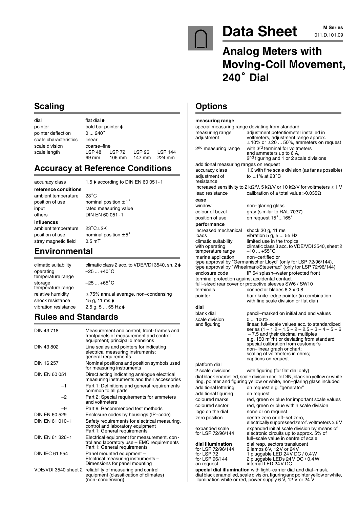

# Data Sheet M M Series

## **Analog Meters with Moving-Coil Movement,** Analog **M**<br>Moving-(<br>240° Dial

## **Scaling**

| dial                  | flat dial $\blacktriangleright$  |                                   |                  |                          |
|-----------------------|----------------------------------|-----------------------------------|------------------|--------------------------|
| pointer               | bold bar pointer $\blacklozenge$ |                                   |                  |                          |
| pointer deflection    | $0240^\circ$                     |                                   |                  |                          |
| scale characteristics | linear                           |                                   |                  |                          |
| scale division        | coarse-fine                      |                                   |                  |                          |
| scale length          | LSP 48<br>69 mm                  | <b>LSP 72</b><br>$106 \text{ mm}$ | LSP 96<br>147 mm | <b>LSP 144</b><br>224 mm |

## **Accuracy at Reference Conditions**

**reference conditions** ambient temperature position of use nominal position  $\pm 1^{\circ}$ input rated measuring value others DIN EN 60 051-1 **influences** ambient temperature 23°C±2K position of use nominal position  $\pm 5^{\circ}$ 

accuracy class 1.5 ♦ according to DIN EN 60 051 - 1

 $23^{\circ}$ C

stray magnetic field 0.5 mT **Environmental**

climatic suitability climatic class 2 acc. to VDE/VDI 3540, sh. 2 operating  $-25 ... +40^\circ$  $-25 ... +40^{\circ}C$ temperature range storage  $-25...+65^{\circ}$ C temperature range relative humidity  $\leq 75\%$  annual average, non–condensing<br>shock resistance 15 a. 11 ms  $\bullet$ shock resistance 15 g, 11 ms<br>vibration resistance 2.5 g, 5 ... 55 2.5 g, 5 ... 55 Hz  $\blacklozenge$ 

### **Rules and Standards**

| DIN 43718             | Measurement and control; front-frames and<br>frontpanels of measurement and control<br>equipment; principal dimensions   |
|-----------------------|--------------------------------------------------------------------------------------------------------------------------|
| DIN 43 802            | Line scales and pointers for indicating<br>electrical measuring instruments;<br>general requirements                     |
| DIN 16 257            | Nominal positions and position symbols used<br>for measuring instruments                                                 |
| DIN EN 60 051         | Direct acting indicating analogue electrical<br>measuring instruments and their accessories                              |
| $-1$                  | Part 1: Definitions and general requirements<br>common to all parts                                                      |
| $-2$                  | Part 2: Special requirements for ammeters<br>and voltmeters                                                              |
| -9                    | Part 9: Recommended test methods                                                                                         |
| DIN EN 60 529         | Enclosure codes by housings (IP-code)                                                                                    |
| DIN EN 61 010-1       | Safety requirements for electrical measuring,<br>control and laboratory equipment<br>Part 1: General requirements        |
| DIN FN 61 326-1       | Electrical equipment for measurement, con-<br>trol and laboratory use - EMC requirements<br>Part 1: General requirements |
| <b>DIN IEC 61 554</b> | Panel mounted equipment -<br>Electrical measuring instruments -<br>Dimensions for panel mounting                         |
| VDE/VDI 3540 sheet 2  | reliability of measuring and control<br>equipment (classification of climates)<br>(non-condensing)                       |

## **Options**

| measuring range<br>special measuring range deviating from standard |                                                                                                                                                      |  |  |
|--------------------------------------------------------------------|------------------------------------------------------------------------------------------------------------------------------------------------------|--|--|
| measuring range                                                    | adjustment potentiometer installed in                                                                                                                |  |  |
| adjustment                                                         | voltmeters, adjustment range approx.                                                                                                                 |  |  |
| 2 <sup>nd</sup> measuring range                                    | $\pm 10\%$ or $\pm 20$ 50%, ammeters on request<br>with 3 <sup>rd</sup> terminal for voltmeters                                                      |  |  |
|                                                                    | and ammeters up to 6 A,                                                                                                                              |  |  |
|                                                                    | 2 <sup>nd</sup> figuring and 1 or 2 scale divisions                                                                                                  |  |  |
| additional measuring ranges on request                             |                                                                                                                                                      |  |  |
| accuracy class                                                     | 1.0 with fine scale division (as far as possible)                                                                                                    |  |  |
| adjustment of<br>resistance                                        | to $\pm$ 1% at 23 $^{\circ}$ C                                                                                                                       |  |  |
|                                                                    | increased sensitivity to 2 k $\Omega$ /V, 5 k $\Omega$ /V or 10 k $\Omega$ /V for voltmeters $\geq 1$ V                                              |  |  |
| lead resistance                                                    | calibration of a total value > 0.035 $\Omega$                                                                                                        |  |  |
| case                                                               |                                                                                                                                                      |  |  |
| window                                                             | non-glaring glass                                                                                                                                    |  |  |
| colour of bezel                                                    | gray (similar to RAL 7037)                                                                                                                           |  |  |
| position of use                                                    | on request 15°165°                                                                                                                                   |  |  |
| performance                                                        |                                                                                                                                                      |  |  |
| increased mechanical<br>loads                                      | shock 30 g, 11 ms<br>vibration $\bar{5}$ g, 5  55 Hz                                                                                                 |  |  |
| climatic suitability                                               | limited use in the tropics                                                                                                                           |  |  |
| with operating                                                     | climatic class 3 acc. to VDE/VDI 3540, sheet 2                                                                                                       |  |  |
| temperature range                                                  | −10  +55°C                                                                                                                                           |  |  |
| marine application                                                 | non-certified or<br>type approval by "Germanischer Lloyd" (only for LSP 72/96/144),                                                                  |  |  |
|                                                                    | type approval by "Wheelmark/Steuerrad" (only for LSP 72/96/144)                                                                                      |  |  |
| enclosure code                                                     | IP 54 splash-water protected front                                                                                                                   |  |  |
| terminal protection against accidental contact                     | full–sized rear cover or protective sleeves SW6 / SW10                                                                                               |  |  |
| terminals                                                          | connector blades 6.3 x 0.8                                                                                                                           |  |  |
| pointer                                                            | bar / knife-edge pointer (in combination                                                                                                             |  |  |
|                                                                    | with fine scale division or flat dial)                                                                                                               |  |  |
| dial                                                               |                                                                                                                                                      |  |  |
| blank dial<br>scale division                                       | pencil-marked on initial and end values<br>$0100\%$                                                                                                  |  |  |
| and figuring                                                       | linear, full-scale values acc. to standardized                                                                                                       |  |  |
|                                                                    | series $(1 - 1.2 - 1.5 - 2 - 2.5 - 3 - 4 - 5 - 6)$                                                                                                   |  |  |
|                                                                    | -7.5 and their decimal multiples<br>e.g. 150 $\mathrm{m}^3$ /h) or deviating from standard;                                                          |  |  |
|                                                                    | special calibration from customer's                                                                                                                  |  |  |
|                                                                    | non-linear graph or chart;                                                                                                                           |  |  |
|                                                                    | scaling of voltmeters in ohms;<br>captions on request                                                                                                |  |  |
| platform dial                                                      |                                                                                                                                                      |  |  |
| 2 scale divisions                                                  | with figuring (for flat dial only)                                                                                                                   |  |  |
|                                                                    | dial black enamelled, scale division acc. to DIN, black on yellow or white<br>ring, pointer and figuring yellow or white, non-glaring glass included |  |  |
| additional lettering                                               | on request e.g. "generator"                                                                                                                          |  |  |
| additional figuring                                                | on request                                                                                                                                           |  |  |
| coloured marks                                                     | red, green or blue for important scale values                                                                                                        |  |  |
| coloured sector                                                    | red, green or blue within scale division                                                                                                             |  |  |
| logo on the dial                                                   | none or on request                                                                                                                                   |  |  |
| zero position                                                      | centre zero or off-set zero,<br>electrically suppressed zerof. voltmeters $\geq 6$ V                                                                 |  |  |
| expanded scale                                                     | expanded initial scale division by means of                                                                                                          |  |  |
| for LSP 72/96/144                                                  | electronic circuits up to approx. 5% of<br>full-scale value in centre of scale                                                                       |  |  |
| dial illumination                                                  | dial resp. sectors translucent                                                                                                                       |  |  |
| for LSP 72/96/144<br>for LSP 72                                    | 2 lamps 6V, 12V or 24V                                                                                                                               |  |  |
| for LSP 96/144                                                     | 1 pluggable LED 24 V DC / 0.4 W<br>2 pluggable LEDs 24 V DC / 0.4 W                                                                                  |  |  |
| on request                                                         | internal LED 24 V DC                                                                                                                                 |  |  |
|                                                                    | special dial illumination with light-carrier dial and dial-mask,<br>dial black enamelled, scale division, figuring and pointer yellow or white,      |  |  |
|                                                                    | illumination white or red, power supply 6 V, 12 V or 24 V                                                                                            |  |  |